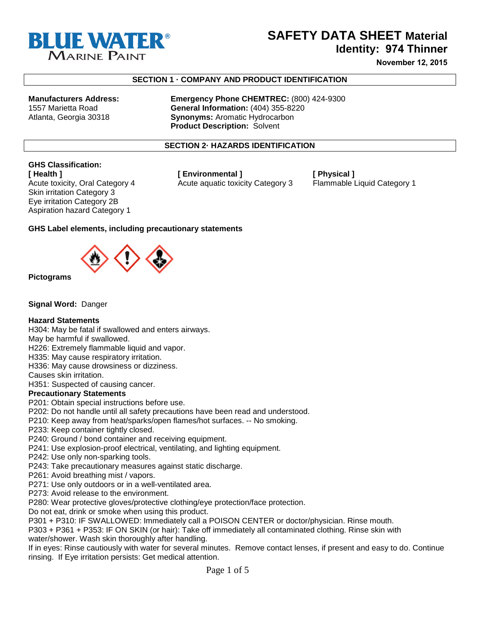

## **SAFETY DATA SHEET Material**

**Identity: 974 Thinner**

**November 12, 2015**

#### **SECTION 1 · COMPANY AND PRODUCT IDENTIFICATION**

**Manufacturers Address: Emergency Phone CHEMTREC:** (800) 424-9300 1557 Marietta Road **General Information:** (404) 355-8220 **Synonyms: Aromatic Hydrocarbon Product Description:** Solvent

#### **SECTION 2· HAZARDS IDENTIFICATION**

# **GHS Classification:**

Skin irritation Category 3 Eye irritation Category 2B Aspiration hazard Category 1

**[ Health ] [ Environmental ] [ Physical ]**  Acute toxicity, Oral Category 4 Acute aquatic toxicity Category 3 Flammable Liquid Category 1

#### **GHS Label elements, including precautionary statements**



**Pictograms** 

**Signal Word:** Danger

#### **Hazard Statements**

H304: May be fatal if swallowed and enters airways.

May be harmful if swallowed.

H226: Extremely flammable liquid and vapor.

H335: May cause respiratory irritation.

H336: May cause drowsiness or dizziness.

Causes skin irritation.

H351: Suspected of causing cancer.

#### **Precautionary Statements**

P201: Obtain special instructions before use.

P202: Do not handle until all safety precautions have been read and understood.

P210: Keep away from heat/sparks/open flames/hot surfaces. -- No smoking.

P233: Keep container tightly closed.

P240: Ground / bond container and receiving equipment.

- P241: Use explosion-proof electrical, ventilating, and lighting equipment.
- P242: Use only non-sparking tools.
- P243: Take precautionary measures against static discharge.

P261: Avoid breathing mist / vapors.

P271: Use only outdoors or in a well-ventilated area.

P273: Avoid release to the environment.

P280: Wear protective gloves/protective clothing/eye protection/face protection.

Do not eat, drink or smoke when using this product.

P301 + P310: IF SWALLOWED: Immediately call a POISON CENTER or doctor/physician. Rinse mouth.

P303 + P361 + P353: IF ON SKIN (or hair): Take off immediately all contaminated clothing. Rinse skin with water/shower. Wash skin thoroughly after handling.

If in eyes: Rinse cautiously with water for several minutes. Remove contact lenses, if present and easy to do. Continue rinsing. If Eye irritation persists: Get medical attention.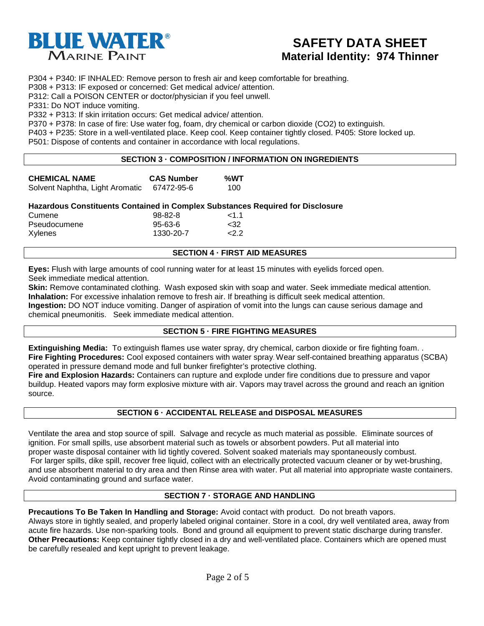

P304 + P340: IF INHALED: Remove person to fresh air and keep comfortable for breathing.

P308 + P313: IF exposed or concerned: Get medical advice/ attention.

P312: Call a POISON CENTER or doctor/physician if you feel unwell.

P331: Do NOT induce vomiting.

P332 + P313: If skin irritation occurs: Get medical advice/ attention.

P370 + P378: In case of fire: Use water fog, foam, dry chemical or carbon dioxide (CO2) to extinguish.

P403 + P235: Store in a well-ventilated place. Keep cool. Keep container tightly closed. P405: Store locked up.

P501: Dispose of contents and container in accordance with local regulations.

#### **SECTION 3 · COMPOSITION / INFORMATION ON INGREDIENTS**

| <b>CHEMICAL NAME</b>            | <b>CAS Number</b> | %WT |
|---------------------------------|-------------------|-----|
| Solvent Naphtha, Light Aromatic | 67472-95-6        | 100 |

#### **Hazardous Constituents Contained in Complex Substances Required for Disclosure**

| Cumene       | $98 - 82 - 8$ | $<$ 1 1 $<$ |
|--------------|---------------|-------------|
| Pseudocumene | $95 - 63 - 6$ | $32$        |
| Xylenes      | 1330-20-7     | 222         |

#### **SECTION 4 · FIRST AID MEASURES**

**Eyes:** Flush with large amounts of cool running water for at least 15 minutes with eyelids forced open. Seek immediate medical attention.

**Skin:** Remove contaminated clothing. Wash exposed skin with soap and water. Seek immediate medical attention. **Inhalation:** For excessive inhalation remove to fresh air. If breathing is difficult seek medical attention. **Ingestion:** DO NOT induce vomiting. Danger of aspiration of vomit into the lungs can cause serious damage and chemical pneumonitis. Seek immediate medical attention.

#### **SECTION 5 · FIRE FIGHTING MEASURES**

**Extinguishing Media:** To extinguish flames use water spray, dry chemical, carbon dioxide or fire fighting foam. . **Fire Fighting Procedures:** Cool exposed containers with water spray. Wear self-contained breathing apparatus (SCBA) operated in pressure demand mode and full bunker firefighter's protective clothing.

**Fire and Explosion Hazards:** Containers can rupture and explode under fire conditions due to pressure and vapor buildup. Heated vapors may form explosive mixture with air. Vapors may travel across the ground and reach an ignition source.

#### **SECTION 6 · ACCIDENTAL RELEASE and DISPOSAL MEASURES**

Ventilate the area and stop source of spill. Salvage and recycle as much material as possible. Eliminate sources of ignition. For small spills, use absorbent material such as towels or absorbent powders. Put all material into proper waste disposal container with lid tightly covered. Solvent soaked materials may spontaneously combust. For larger spills, dike spill, recover free liquid, collect with an electrically protected vacuum cleaner or by wet-brushing, and use absorbent material to dry area and then Rinse area with water. Put all material into appropriate waste containers. Avoid contaminating ground and surface water.

#### **SECTION 7 · STORAGE AND HANDLING**

**Precautions To Be Taken In Handling and Storage:** Avoid contact with product. Do not breath vapors. Always store in tightly sealed, and properly labeled original container. Store in a cool, dry well ventilated area, away from acute fire hazards. Use non-sparking tools. Bond and ground all equipment to prevent static discharge during transfer. **Other Precautions:** Keep container tightly closed in a dry and well-ventilated place. Containers which are opened must be carefully resealed and kept upright to prevent leakage.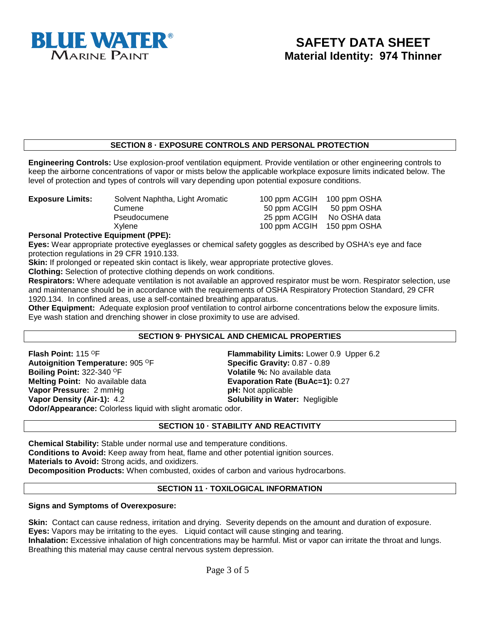

### **SECTION 8 · EXPOSURE CONTROLS AND PERSONAL PROTECTION**

**Engineering Controls:** Use explosion-proof ventilation equipment. Provide ventilation or other engineering controls to keep the airborne concentrations of vapor or mists below the applicable workplace exposure limits indicated below. The level of protection and types of controls will vary depending upon potential exposure conditions.

| <b>Exposure Limits:</b> | Solvent Naphtha, Light Aromatic | 100 ppm ACGIH 100 ppm OSHA |  |
|-------------------------|---------------------------------|----------------------------|--|
|                         | Cumene                          | 50 ppm ACGIH 50 ppm OSHA   |  |
|                         | Pseudocumene                    | 25 ppm ACGIH No OSHA data  |  |
|                         | Xvlene                          | 100 ppm ACGIH 150 ppm OSHA |  |

#### **Personal Protective Equipment (PPE):**

**Eyes:** Wear appropriate protective eyeglasses or chemical safety goggles as described by OSHA's eye and face protection regulations in 29 CFR 1910.133.

**Skin:** If prolonged or repeated skin contact is likely, wear appropriate protective gloves.

**Clothing:** Selection of protective clothing depends on work conditions.

**Respirators:** Where adequate ventilation is not available an approved respirator must be worn. Respirator selection, use and maintenance should be in accordance with the requirements of OSHA Respiratory Protection Standard, 29 CFR 1920.134. In confined areas, use a self-contained breathing apparatus.

**Other Equipment:** Adequate explosion proof ventilation to control airborne concentrations below the exposure limits. Eye wash station and drenching shower in close proximity to use are advised.

#### **SECTION 9· PHYSICAL AND CHEMICAL PROPERTIES**

**Flash Point:** 115 <sup>O</sup>F **Flammability Limits:** Lower 0.9 Upper 6.2 **Flammability Limits:** Lower 0.9 Upper 6.2 **Autoignition Temperature:** 905 <sup>O</sup>F **Flammability Gravity:** 0.87 - 0.89 **Autoignition Temperature:** 905 <sup>O</sup>F<br>**Boiling Point:** 322-340 <sup>O</sup>F **Melting Point:** No available data **Evaporation Rate (BuAc=1):** 0.27 **Vapor Pressure:** 2 mmHg **Vapor Pressure:** 2 mmHg<br>**Vapor Density (Air-1):** 4.2

**Volatile %: No available data Solubility in Water: Negligible** 

**Odor/Appearance:** Colorless liquid with slight aromatic odor.

#### **SECTION 10 · STABILITY AND REACTIVITY**

**Chemical Stability:** Stable under normal use and temperature conditions. **Conditions to Avoid:** Keep away from heat, flame and other potential ignition sources. **Materials to Avoid:** Strong acids, and oxidizers. **Decomposition Products:** When combusted, oxides of carbon and various hydrocarbons.

#### **SECTION 11 · TOXILOGICAL INFORMATION**

#### **Signs and Symptoms of Overexposure:**

**Skin:** Contact can cause redness, irritation and drying. Severity depends on the amount and duration of exposure. **Eyes:** Vapors may be irritating to the eyes. Liquid contact will cause stinging and tearing.

**Inhalation:** Excessive inhalation of high concentrations may be harmful. Mist or vapor can irritate the throat and lungs. Breathing this material may cause central nervous system depression.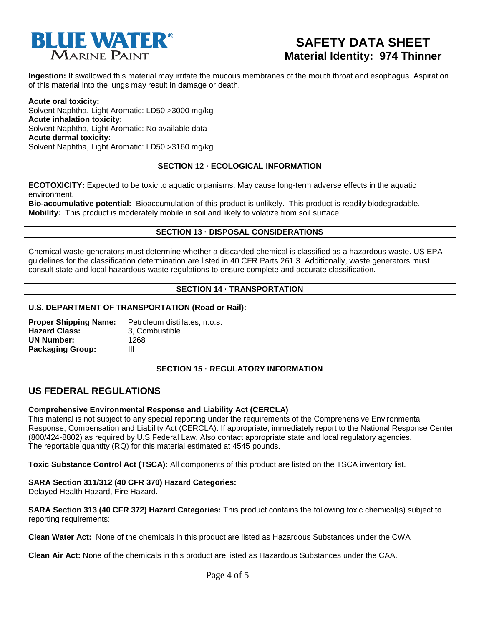

**Ingestion:** If swallowed this material may irritate the mucous membranes of the mouth throat and esophagus. Aspiration of this material into the lungs may result in damage or death.

**Acute oral toxicity:** Solvent Naphtha, Light Aromatic: LD50 >3000 mg/kg **Acute inhalation toxicity:** Solvent Naphtha, Light Aromatic: No available data **Acute dermal toxicity:** Solvent Naphtha, Light Aromatic: LD50 >3160 mg/kg

#### **SECTION 12 · ECOLOGICAL INFORMATION**

**ECOTOXICITY:** Expected to be toxic to aquatic organisms. May cause long-term adverse effects in the aquatic environment.

**Bio-accumulative potential:** Bioaccumulation of this product is unlikely. This product is readily biodegradable. **Mobility:** This product is moderately mobile in soil and likely to volatize from soil surface.

#### **SECTION 13 · DISPOSAL CONSIDERATIONS**

Chemical waste generators must determine whether a discarded chemical is classified as a hazardous waste. US EPA guidelines for the classification determination are listed in 40 CFR Parts 261.3. Additionally, waste generators must consult state and local hazardous waste regulations to ensure complete and accurate classification.

#### **SECTION 14 · TRANSPORTATION**

#### **U.S. DEPARTMENT OF TRANSPORTATION (Road or Rail):**

| <b>Proper Shipping Name:</b> | Petroleum distillates, n.o.s. |
|------------------------------|-------------------------------|
| <b>Hazard Class:</b>         | 3. Combustible                |
| <b>UN Number:</b>            | 1268                          |
| <b>Packaging Group:</b>      | Ш                             |

#### **SECTION 15 · REGULATORY INFORMATION**

### **US FEDERAL REGULATIONS**

#### **Comprehensive Environmental Response and Liability Act (CERCLA)**

This material is not subject to any special reporting under the requirements of the Comprehensive Environmental Response, Compensation and Liability Act (CERCLA). If appropriate, immediately report to the National Response Center (800/424-8802) as required by U.S.Federal Law. Also contact appropriate state and local regulatory agencies. The reportable quantity (RQ) for this material estimated at 4545 pounds.

**Toxic Substance Control Act (TSCA):** All components of this product are listed on the TSCA inventory list.

#### **SARA Section 311/312 (40 CFR 370) Hazard Categories:**

Delayed Health Hazard, Fire Hazard.

**SARA Section 313 (40 CFR 372) Hazard Categories:** This product contains the following toxic chemical(s) subject to reporting requirements:

**Clean Water Act:** None of the chemicals in this product are listed as Hazardous Substances under the CWA

**Clean Air Act:** None of the chemicals in this product are listed as Hazardous Substances under the CAA.